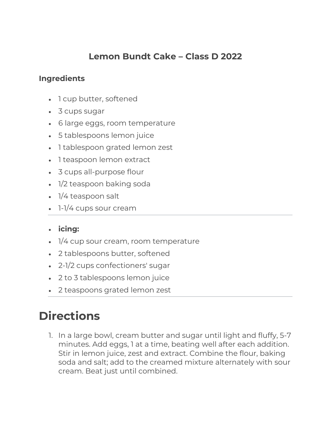## **Lemon Bundt Cake – Class D 2022**

## **Ingredients**

- 1 cup butter, softened
- 3 cups sugar
- 6 large eggs, room temperature
- 5 tablespoons lemon juice
- 1 tablespoon grated lemon zest
- 1 teaspoon lemon extract
- 3 cups all-purpose flour
- 1/2 teaspoon baking soda
- 1/4 teaspoon salt
- 1-1/4 cups sour cream

## • **icing:**

- 1/4 cup sour cream, room temperature
- 2 tablespoons butter, softened
- 2-1/2 cups confectioners' sugar
- 2 to 3 tablespoons lemon juice
- 2 teaspoons grated lemon zest

## **Directions**

1. In a large bowl, cream butter and sugar until light and fluffy, 5-7 minutes. Add eggs, 1 at a time, beating well after each addition. Stir in lemon juice, zest and extract. Combine the flour, baking soda and salt; add to the creamed mixture alternately with sour cream. Beat just until combined.